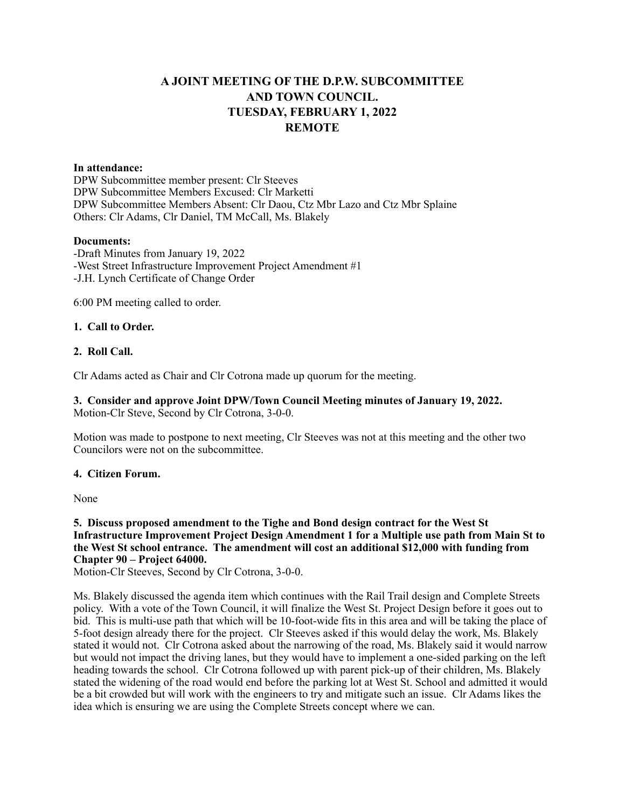# **A JOINT MEETING OF THE D.P.W. SUBCOMMITTEE AND TOWN COUNCIL. TUESDAY, FEBRUARY 1, 2022 REMOTE**

# **In attendance:**

DPW Subcommittee member present: Clr Steeves DPW Subcommittee Members Excused: Clr Marketti DPW Subcommittee Members Absent: Clr Daou, Ctz Mbr Lazo and Ctz Mbr Splaine Others: Clr Adams, Clr Daniel, TM McCall, Ms. Blakely

#### **Documents:**

-Draft Minutes from January 19, 2022 -West Street Infrastructure Improvement Project Amendment #1 -J.H. Lynch Certificate of Change Order

6:00 PM meeting called to order.

### **1. Call to Order.**

## **2. Roll Call.**

Clr Adams acted as Chair and Clr Cotrona made up quorum for the meeting.

**3. Consider and approve Joint DPW/Town Council Meeting minutes of January 19, 2022.** Motion-Clr Steve, Second by Clr Cotrona, 3-0-0.

Motion was made to postpone to next meeting, Clr Steeves was not at this meeting and the other two Councilors were not on the subcommittee.

### **4. Citizen Forum.**

None

**5. Discuss proposed amendment to the Tighe and Bond design contract for the West St Infrastructure Improvement Project Design Amendment 1 for a Multiple use path from Main St to the West St school entrance. The amendment will cost an additional \$12,000 with funding from Chapter 90 – Project 64000.**

Motion-Clr Steeves, Second by Clr Cotrona, 3-0-0.

Ms. Blakely discussed the agenda item which continues with the Rail Trail design and Complete Streets policy. With a vote of the Town Council, it will finalize the West St. Project Design before it goes out to bid. This is multi-use path that which will be 10-foot-wide fits in this area and will be taking the place of 5-foot design already there for the project. Clr Steeves asked if this would delay the work, Ms. Blakely stated it would not. Clr Cotrona asked about the narrowing of the road, Ms. Blakely said it would narrow but would not impact the driving lanes, but they would have to implement a one-sided parking on the left heading towards the school. Clr Cotrona followed up with parent pick-up of their children, Ms. Blakely stated the widening of the road would end before the parking lot at West St. School and admitted it would be a bit crowded but will work with the engineers to try and mitigate such an issue. Clr Adams likes the idea which is ensuring we are using the Complete Streets concept where we can.